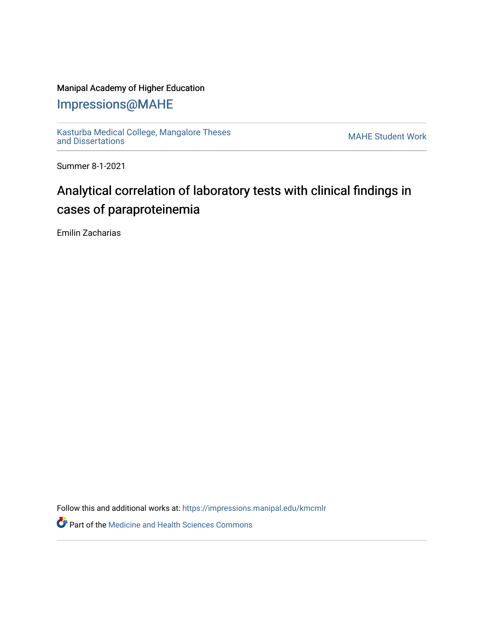### Manipal Academy of Higher Education

## [Impressions@MAHE](https://impressions.manipal.edu/)

[Kasturba Medical College, Mangalore Theses](https://impressions.manipal.edu/kmcmlr) Kasturba Medical College, Mangalore Theses<br>[and Dissertations](https://impressions.manipal.edu/kmcmlr) MAHE Student Work

Summer 8-1-2021

# Analytical correlation of laboratory tests with clinical findings in cases of paraproteinemia

Emilin Zacharias

Follow this and additional works at: [https://impressions.manipal.edu/kmcmlr](https://impressions.manipal.edu/kmcmlr?utm_source=impressions.manipal.edu%2Fkmcmlr%2F239&utm_medium=PDF&utm_campaign=PDFCoverPages) 

**Part of the Medicine and Health Sciences Commons**